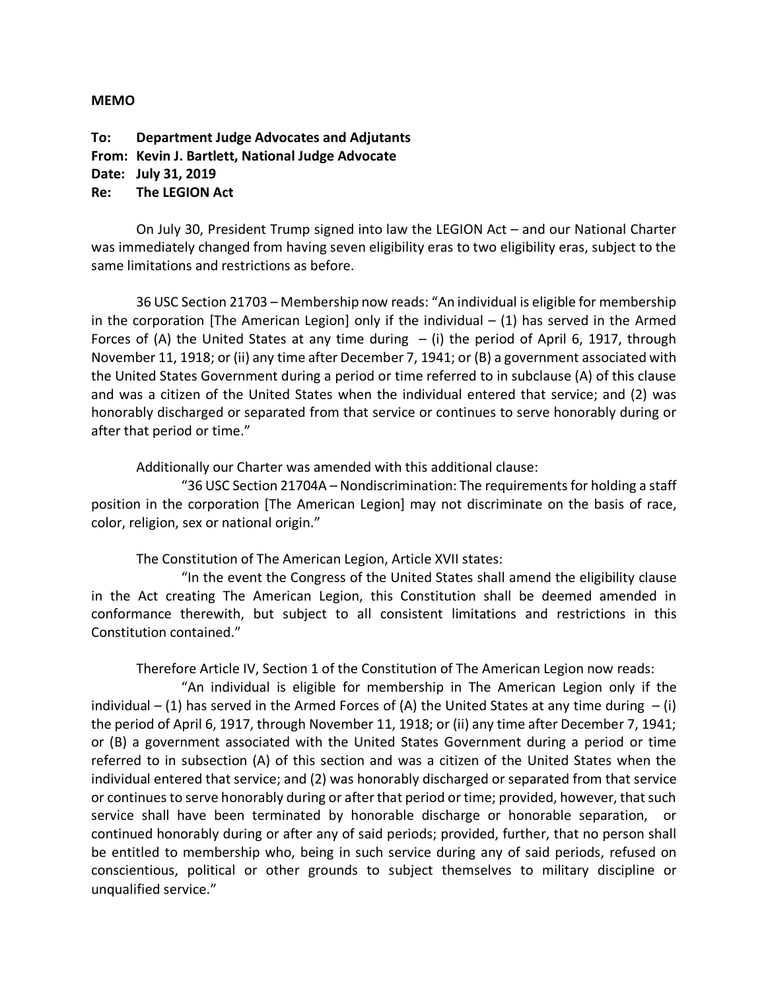## **MEMO**

**To: Department Judge Advocates and Adjutants From: Kevin J. Bartlett, National Judge Advocate Date: July 31, 2019 Re: The LEGION Act**

On July 30, President Trump signed into law the LEGION Act – and our National Charter was immediately changed from having seven eligibility eras to two eligibility eras, subject to the same limitations and restrictions as before.

36 USC Section 21703 – Membership now reads: "An individual is eligible for membership in the corporation [The American Legion] only if the individual  $- (1)$  has served in the Armed Forces of (A) the United States at any time during  $-$  (i) the period of April 6, 1917, through November 11, 1918; or (ii) any time after December 7, 1941; or (B) a government associated with the United States Government during a period or time referred to in subclause (A) of this clause and was a citizen of the United States when the individual entered that service; and (2) was honorably discharged or separated from that service or continues to serve honorably during or after that period or time."

Additionally our Charter was amended with this additional clause:

"36 USC Section 21704A – Nondiscrimination: The requirements for holding a staff position in the corporation [The American Legion] may not discriminate on the basis of race, color, religion, sex or national origin."

The Constitution of The American Legion, Article XVII states:

"In the event the Congress of the United States shall amend the eligibility clause in the Act creating The American Legion, this Constitution shall be deemed amended in conformance therewith, but subject to all consistent limitations and restrictions in this Constitution contained."

Therefore Article IV, Section 1 of the Constitution of The American Legion now reads:

"An individual is eligible for membership in The American Legion only if the individual – (1) has served in the Armed Forces of (A) the United States at any time during  $-$  (i) the period of April 6, 1917, through November 11, 1918; or (ii) any time after December 7, 1941; or (B) a government associated with the United States Government during a period or time referred to in subsection (A) of this section and was a citizen of the United States when the individual entered that service; and (2) was honorably discharged or separated from that service or continues to serve honorably during or after that period or time; provided, however, that such service shall have been terminated by honorable discharge or honorable separation, or continued honorably during or after any of said periods; provided, further, that no person shall be entitled to membership who, being in such service during any of said periods, refused on conscientious, political or other grounds to subject themselves to military discipline or unqualified service."